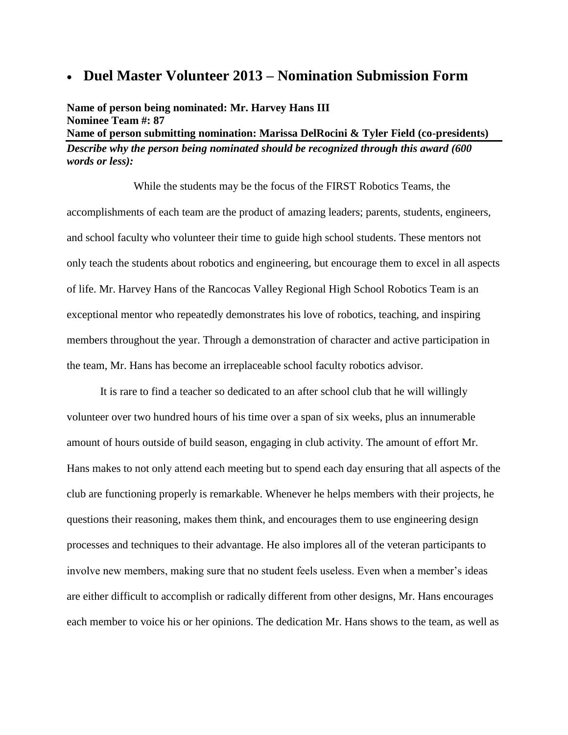## **Duel Master Volunteer 2013 – Nomination Submission Form**

**Name of person being nominated: Mr. Harvey Hans III Nominee Team #: 87 Name of person submitting nomination: Marissa DelRocini & Tyler Field (co-presidents)** *Describe why the person being nominated should be recognized through this award (600 words or less):*

While the students may be the focus of the FIRST Robotics Teams, the accomplishments of each team are the product of amazing leaders; parents, students, engineers, and school faculty who volunteer their time to guide high school students. These mentors not only teach the students about robotics and engineering, but encourage them to excel in all aspects of life. Mr. Harvey Hans of the Rancocas Valley Regional High School Robotics Team is an exceptional mentor who repeatedly demonstrates his love of robotics, teaching, and inspiring members throughout the year. Through a demonstration of character and active participation in the team, Mr. Hans has become an irreplaceable school faculty robotics advisor.

It is rare to find a teacher so dedicated to an after school club that he will willingly volunteer over two hundred hours of his time over a span of six weeks, plus an innumerable amount of hours outside of build season, engaging in club activity. The amount of effort Mr. Hans makes to not only attend each meeting but to spend each day ensuring that all aspects of the club are functioning properly is remarkable. Whenever he helps members with their projects, he questions their reasoning, makes them think, and encourages them to use engineering design processes and techniques to their advantage. He also implores all of the veteran participants to involve new members, making sure that no student feels useless. Even when a member's ideas are either difficult to accomplish or radically different from other designs, Mr. Hans encourages each member to voice his or her opinions. The dedication Mr. Hans shows to the team, as well as